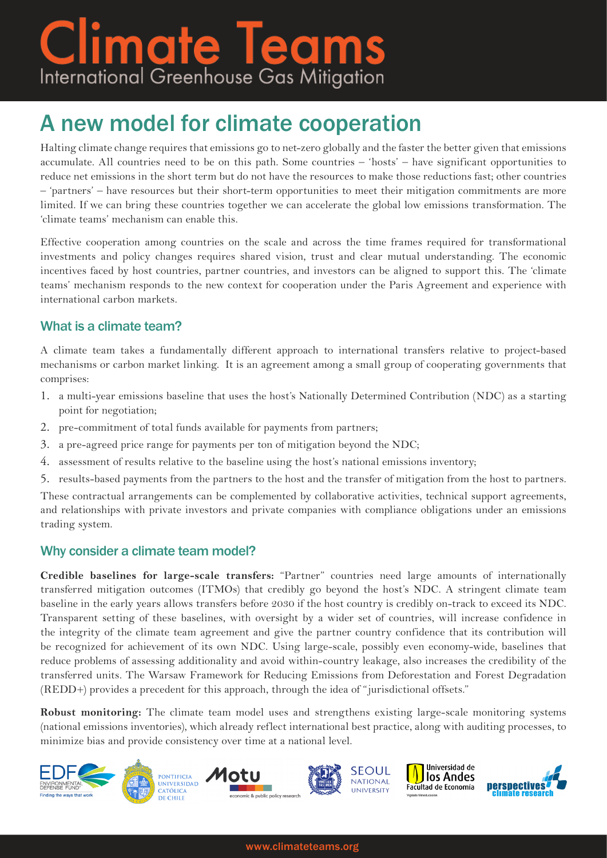# **Climate Teams**<br>International Greenhouse Gas Mitigation

## A new model for climate cooperation

Halting climate change requires that emissions go to net-zero globally and the faster the better given that emissions accumulate. All countries need to be on this path. Some countries – 'hosts' – have significant opportunities to reduce net emissions in the short term but do not have the resources to make those reductions fast; other countries – 'partners' – have resources but their short-term opportunities to meet their mitigation commitments are more limited. If we can bring these countries together we can accelerate the global low emissions transformation. The 'climate teams' mechanism can enable this.

Effective cooperation among countries on the scale and across the time frames required for transformational investments and policy changes requires shared vision, trust and clear mutual understanding. The economic incentives faced by host countries, partner countries, and investors can be aligned to support this. The 'climate teams' mechanism responds to the new context for cooperation under the Paris Agreement and experience with international carbon markets.

### What is a climate team?

A climate team takes a fundamentally different approach to international transfers relative to project-based mechanisms or carbon market linking. It is an agreement among a small group of cooperating governments that comprises:

- 1. a multi-year emissions baseline that uses the host's Nationally Determined Contribution (NDC) as a starting point for negotiation;
- 2. pre-commitment of total funds available for payments from partners;
- 3. a pre-agreed price range for payments per ton of mitigation beyond the NDC;
- 4. assessment of results relative to the baseline using the host's national emissions inventory;
- 5. results-based payments from the partners to the host and the transfer of mitigation from the host to partners.

These contractual arrangements can be complemented by collaborative activities, technical support agreements, and relationships with private investors and private companies with compliance obligations under an emissions trading system.

#### Why consider a climate team model?

**Credible baselines for large-scale transfers:** "Partner" countries need large amounts of internationally transferred mitigation outcomes (ITMOs) that credibly go beyond the host's NDC. A stringent climate team baseline in the early years allows transfers before 2030 if the host country is credibly on-track to exceed its NDC. Transparent setting of these baselines, with oversight by a wider set of countries, will increase confidence in the integrity of the climate team agreement and give the partner country confidence that its contribution will be recognized for achievement of its own NDC. Using large-scale, possibly even economy-wide, baselines that reduce problems of assessing additionality and avoid within-country leakage, also increases the credibility of the transferred units. The Warsaw Framework for Reducing Emissions from Deforestation and Forest Degradation (REDD+) provides a precedent for this approach, through the idea of "jurisdictional offsets."

**Robust monitoring:** The climate team model uses and strengthens existing large-scale monitoring systems (national emissions inventories), which already reflect international best practice, along with auditing processes, to minimize bias and provide consistency over time at a national level.